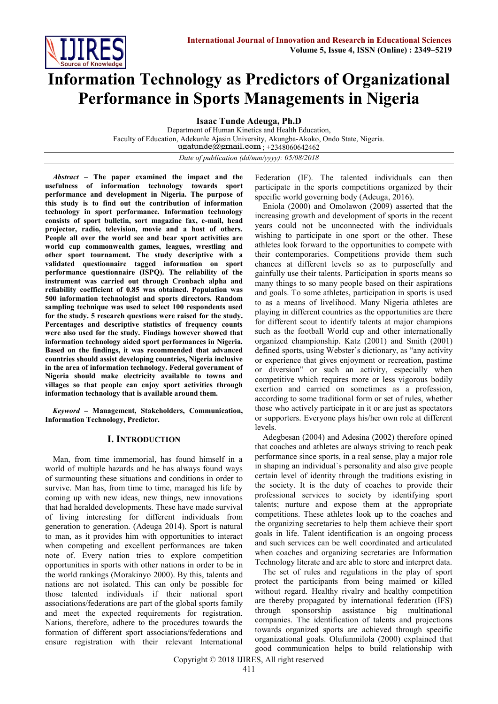

# **Information Technology as Predictors of Organizational Performance in Sports Managements in Nigeria**

**Isaac Tunde Adeuga, Ph.D**

Department of Human Kinetics and Health Education, Faculty of Education, Adekunle Ajasin University, Akungba-Akoko, Ondo State, Nigeria. ugatunde@gmail.com +2348060642462

*Date of publication (dd/mm/yyyy): 05/08/2018*

*Abstract* **– The paper examined the impact and the usefulness of information technology towards sport performance and development in Nigeria. The purpose of this study is to find out the contribution of information technology in sport performance. Information technology consists of sport bulletin, sort magazine fax, e-mail, head projector, radio, television, movie and a host of others. People all over the world see and bear sport activities are world cup commonwealth games, leagues, wrestling and other sport tournament. The study descriptive with a validated questionnaire tagged information on sport performance questionnaire (ISPQ). The reliability of the instrument was carried out through Cronbach alpha and reliability coefficient of 0.85 was obtained. Population was 500 information technologist and sports directors. Random sampling technique was used to select 100 respondents used for the study. 5 research questions were raised for the study. Percentages and descriptive statistics of frequency counts were also used for the study. Findings however showed that information technology aided sport performances in Nigeria. Based on the findings, it was recommended that advanced countries should assist developing countries, Nigeria inclusive in the area of information technology. Federal government of Nigeria should make electricity available to towns and villages so that people can enjoy sport activities through information technology that is available around them.**

*Keyword* **– Management, Stakeholders, Communication, Information Technology, Predictor.**

## **I. INTRODUCTION**

Man, from time immemorial, has found himself in a world of multiple hazards and he has always found ways of surmounting these situations and conditions in order to survive. Man has, from time to time, managed his life by coming up with new ideas, new things, new innovations that had heralded developments. These have made survival of living interesting for different individuals from generation to generation. (Adeuga 2014). Sport is natural to man, as it provides him with opportunities to interact when competing and excellent performances are taken note of. Every nation tries to explore competition opportunities in sports with other nations in order to be in the world rankings (Morakinyo 2000). By this, talents and nations are not isolated. This can only be possible for those talented individuals if their national sport associations/federations are part of the global sports family and meet the expected requirements for registration. Nations, therefore, adhere to the procedures towards the formation of different sport associations/federations and ensure registration with their relevant International

Federation (IF). The talented individuals can then participate in the sports competitions organized by their specific world governing body (Adeuga, 2016).

Eniola (2000) and Omolawon (2009) asserted that the increasing growth and development of sports in the recent years could not be unconnected with the individuals wishing to participate in one sport or the other. These athletes look forward to the opportunities to compete with their contemporaries. Competitions provide them such chances at different levels so as to purposefully and gainfully use their talents. Participation in sports means so many things to so many people based on their aspirations and goals. To some athletes, participation in sports is used to as a means of livelihood. Many Nigeria athletes are playing in different countries as the opportunities are there for different scout to identify talents at major champions such as the football World cup and other internationally organized championship. Katz (2001) and Smith (2001) defined sports, using Webster`s dictionary, as "any activity or experience that gives enjoyment or recreation, pastime or diversion" or such an activity, especially when competitive which requires more or less vigorous bodily exertion and carried on sometimes as a profession, according to some traditional form or set of rules, whether those who actively participate in it or are just as spectators or supporters. Everyone plays his/her own role at different levels.

Adegbesan (2004) and Adesina (2002) therefore opined that coaches and athletes are always striving to reach peak performance since sports, in a real sense, play a major role in shaping an individual`s personality and also give people certain level of identity through the traditions existing in the society. It is the duty of coaches to provide their professional services to society by identifying sport talents; nurture and expose them at the appropriate competitions. These athletes look up to the coaches and the organizing secretaries to help them achieve their sport goals in life. Talent identification is an ongoing process and such services can be well coordinated and articulated when coaches and organizing secretaries are Information Technology literate and are able to store and interpret data.

The set of rules and regulations in the play of sport protect the participants from being maimed or killed without regard. Healthy rivalry and healthy competition are thereby propagated by international federation (IFS) through sponsorship assistance big multinational companies. The identification of talents and projections towards organized sports are achieved through specific organizational goals. Olufunmilola (2000) explained that good communication helps to build relationship with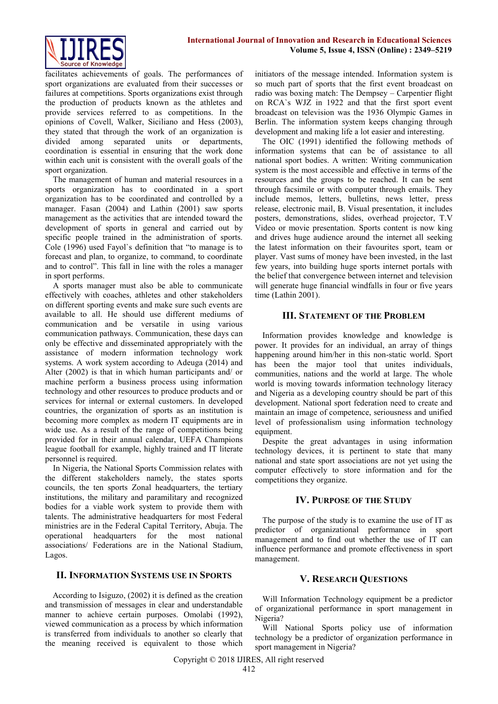

facilitates achievements of goals. The performances of sport organizations are evaluated from their successes or failures at competitions. Sports organizations exist through the production of products known as the athletes and provide services referred to as competitions. In the opinions of Covell, Walker, Siciliano and Hess (2003), they stated that through the work of an organization is divided among separated units or departments, coordination is essential in ensuring that the work done within each unit is consistent with the overall goals of the sport organization.

The management of human and material resources in a sports organization has to coordinated in a sport organization has to be coordinated and controlled by a manager. Fasan (2004) and Lathin (2001) saw sports management as the activities that are intended toward the development of sports in general and carried out by specific people trained in the administration of sports. Cole (1996) used Fayol`s definition that "to manage is to forecast and plan, to organize, to command, to coordinate and to control". This fall in line with the roles a manager in sport performs.

A sports manager must also be able to communicate effectively with coaches, athletes and other stakeholders on different sporting events and make sure such events are available to all. He should use different mediums of communication and be versatile in using various communication pathways. Communication, these days can only be effective and disseminated appropriately with the assistance of modern information technology work systems. A work system according to Adeuga (2014) and Alter (2002) is that in which human participants and/ or machine perform a business process using information technology and other resources to produce products and or services for internal or external customers. In developed countries, the organization of sports as an institution is becoming more complex as modern IT equipments are in wide use. As a result of the range of competitions being provided for in their annual calendar, UEFA Champions league football for example, highly trained and IT literate personnel is required.

In Nigeria, the National Sports Commission relates with the different stakeholders namely, the states sports councils, the ten sports Zonal headquarters, the tertiary institutions, the military and paramilitary and recognized bodies for a viable work system to provide them with talents. The administrative headquarters for most Federal ministries are in the Federal Capital Territory, Abuja. The operational headquarters for the most national associations/ Federations are in the National Stadium, Lagos.

#### **II. INFORMATION SYSTEMS USE IN SPORTS**

According to Isiguzo, (2002) it is defined as the creation and transmission of messages in clear and understandable manner to achieve certain purposes. Omolabi (1992), viewed communication as a process by which information is transferred from individuals to another so clearly that the meaning received is equivalent to those which initiators of the message intended. Information system is so much part of sports that the first event broadcast on radio was boxing match: The Dempsey – Carpentier flight on RCA`s WJZ in 1922 and that the first sport event broadcast on television was the 1936 Olympic Games in Berlin. The information system keeps changing through development and making life a lot easier and interesting.

The OIC (1991) identified the following methods of information systems that can be of assistance to all national sport bodies. A written: Writing communication system is the most accessible and effective in terms of the resources and the groups to be reached. It can be sent through facsimile or with computer through emails. They include memos, letters, bulletins, news letter, press release, electronic mail, B. Visual presentation, it includes posters, demonstrations, slides, overhead projector, T.V Video or movie presentation. Sports content is now king and drives huge audience around the internet all seeking the latest information on their favourites sport, team or player. Vast sums of money have been invested, in the last few years, into building huge sports internet portals with the belief that convergence between internet and television will generate huge financial windfalls in four or five years time (Lathin 2001).

### **III. STATEMENT OF THE PROBLEM**

Information provides knowledge and knowledge is power. It provides for an individual, an array of things happening around him/her in this non-static world. Sport has been the major tool that unites individuals, communities, nations and the world at large. The whole world is moving towards information technology literacy and Nigeria as a developing country should be part of this development. National sport federation need to create and maintain an image of competence, seriousness and unified level of professionalism using information technology equipment.

Despite the great advantages in using information technology devices, it is pertinent to state that many national and state sport associations are not yet using the computer effectively to store information and for the competitions they organize.

## **IV. PURPOSE OF THE STUDY**

The purpose of the study is to examine the use of IT as predictor of organizational performance in sport management and to find out whether the use of IT can influence performance and promote effectiveness in sport management.

## **V. RESEARCH QUESTIONS**

Will Information Technology equipment be a predictor of organizational performance in sport management in Nigeria?

Will National Sports policy use of information technology be a predictor of organization performance in sport management in Nigeria?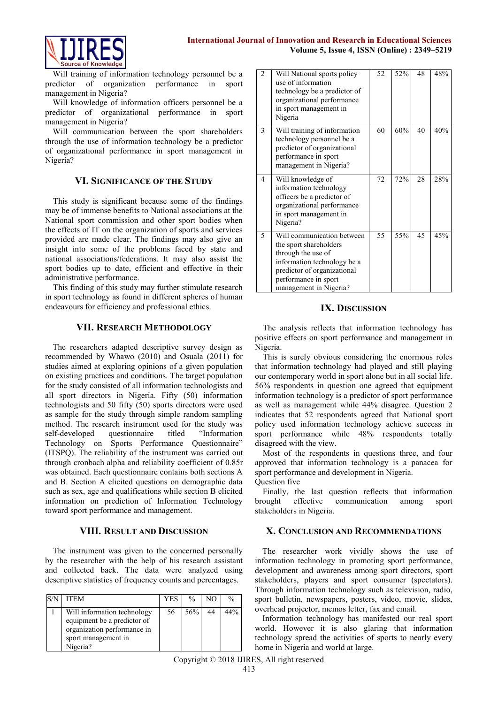

Will training of information technology personnel be a predictor of organization performance in sport management in Nigeria?

Will knowledge of information officers personnel be a predictor of organizational performance in sport management in Nigeria?

Will communication between the sport shareholders through the use of information technology be a predictor of organizational performance in sport management in Nigeria?

#### **VI. SIGNIFICANCE OF THE STUDY**

This study is significant because some of the findings may be of immense benefits to National associations at the National sport commission and other sport bodies when the effects of IT on the organization of sports and services provided are made clear. The findings may also give an insight into some of the problems faced by state and national associations/federations. It may also assist the sport bodies up to date, efficient and effective in their administrative performance.

This finding of this study may further stimulate research in sport technology as found in different spheres of human endeavours for efficiency and professional ethics.

#### **VII. RESEARCH METHODOLOGY**

The researchers adapted descriptive survey design as recommended by Whawo (2010) and Osuala (2011) for studies aimed at exploring opinions of a given population on existing practices and conditions. The target population for the study consisted of all information technologists and all sport directors in Nigeria. Fifty (50) information technologists and 50 fifty (50) sports directors were used as sample for the study through simple random sampling method. The research instrument used for the study was self-developed questionnaire titled "Information Technology on Sports Performance Questionnaire" (ITSPQ). The reliability of the instrument was carried out through cronbach alpha and reliability coefficient of 0.85r was obtained. Each questionnaire contains both sections A and B. Section A elicited questions on demographic data such as sex, age and qualifications while section B elicited information on prediction of Information Technology toward sport performance and management.

#### **VIII. RESULT AND DISCUSSION**

The instrument was given to the concerned personally by the researcher with the help of his research assistant and collected back. The data were analyzed using descriptive statistics of frequency counts and percentages.

| <b>ITEM</b>                                                                                                                  | YES | $\frac{0}{0}$ | NΟ | $\frac{0}{0}$ |
|------------------------------------------------------------------------------------------------------------------------------|-----|---------------|----|---------------|
| Will information technology<br>equipment be a predictor of<br>organization performance in<br>sport management in<br>Nigeria? | 56  | 56%           | 44 | 44%           |

| 2              | Will National sports policy<br>use of information<br>technology be a predictor of<br>organizational performance<br>in sport management in<br>Nigeria                                       | 52 | 52% | 48 | 48% |
|----------------|--------------------------------------------------------------------------------------------------------------------------------------------------------------------------------------------|----|-----|----|-----|
| 3              | Will training of information<br>technology personnel be a<br>predictor of organizational<br>performance in sport<br>management in Nigeria?                                                 | 60 | 60% | 40 | 40% |
| $\overline{4}$ | Will knowledge of<br>information technology<br>officers be a predictor of<br>organizational performance<br>in sport management in<br>Nigeria?                                              | 72 | 72% | 28 | 28% |
| 5              | Will communication between<br>the sport shareholders<br>through the use of<br>information technology be a<br>predictor of organizational<br>performance in sport<br>management in Nigeria? | 55 | 55% | 45 | 45% |

#### **IX. DISCUSSION**

The analysis reflects that information technology has positive effects on sport performance and management in Nigeria.

This is surely obvious considering the enormous roles that information technology had played and still playing our contemporary world in sport alone but in all social life. 56% respondents in question one agreed that equipment information technology is a predictor of sport performance as well as management while 44% disagree. Question 2 indicates that 52 respondents agreed that National sport policy used information technology achieve success in sport performance while 48% respondents totally disagreed with the view.

Most of the respondents in questions three, and four approved that information technology is a panacea for sport performance and development in Nigeria. Question five

Finally, the last question reflects that information brought effective communication among sport stakeholders in Nigeria.

### **X. CONCLUSION AND RECOMMENDATIONS**

The researcher work vividly shows the use of information technology in promoting sport performance, development and awareness among sport directors, sport stakeholders, players and sport consumer (spectators). Through information technology such as television, radio, sport bulletin, newspapers, posters, video, movie, slides, overhead projector, memos letter, fax and email.

Information technology has manifested our real sport world. However it is also glaring that information technology spread the activities of sports to nearly every home in Nigeria and world at large.

Copyright © 2018 IJIRES, All right reserved